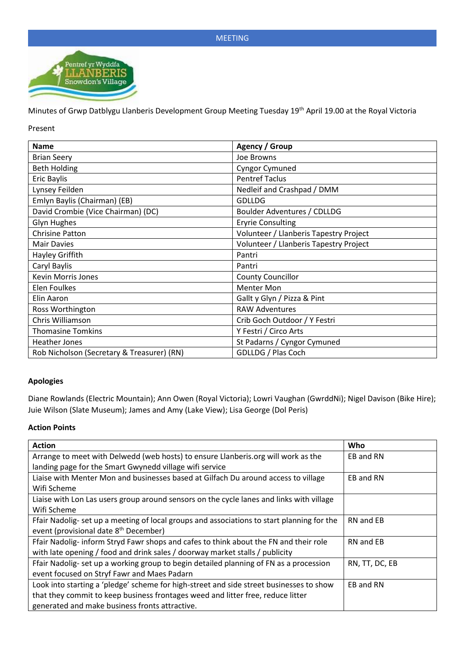

Minutes of Grwp Datblygu Llanberis Development Group Meeting Tuesday 19th April 19.00 at the Royal Victoria

Present

| <b>Name</b>                                | <b>Agency / Group</b>                  |
|--------------------------------------------|----------------------------------------|
| <b>Brian Seery</b>                         | Joe Browns                             |
| <b>Beth Holding</b>                        | <b>Cyngor Cymuned</b>                  |
| <b>Eric Baylis</b>                         | <b>Pentref Taclus</b>                  |
| Lynsey Feilden                             | Nedleif and Crashpad / DMM             |
| Emlyn Baylis (Chairman) (EB)               | <b>GDLLDG</b>                          |
| David Crombie (Vice Chairman) (DC)         | Boulder Adventures / CDLLDG            |
| <b>Glyn Hughes</b>                         | <b>Eryrie Consulting</b>               |
| <b>Chrisine Patton</b>                     | Volunteer / Llanberis Tapestry Project |
| <b>Mair Davies</b>                         | Volunteer / Llanberis Tapestry Project |
| Hayley Griffith                            | Pantri                                 |
| Caryl Baylis                               | Pantri                                 |
| <b>Kevin Morris Jones</b>                  | <b>County Councillor</b>               |
| Elen Foulkes                               | <b>Menter Mon</b>                      |
| Elin Aaron                                 | Gallt y Glyn / Pizza & Pint            |
| Ross Worthington                           | <b>RAW Adventures</b>                  |
| Chris Williamson                           | Crib Goch Outdoor / Y Festri           |
| <b>Thomasine Tomkins</b>                   | Y Festri / Circo Arts                  |
| Heather Jones                              | St Padarns / Cyngor Cymuned            |
| Rob Nicholson (Secretary & Treasurer) (RN) | GDLLDG / Plas Coch                     |

### **Apologies**

Diane Rowlands (Electric Mountain); Ann Owen (Royal Victoria); Lowri Vaughan (GwrddNi); Nigel Davison (Bike Hire); Juie Wilson (Slate Museum); James and Amy (Lake View); Lisa George (Dol Peris)

### **Action Points**

| <b>Action</b>                                                                              | Who            |
|--------------------------------------------------------------------------------------------|----------------|
| Arrange to meet with Delwedd (web hosts) to ensure Llanberis.org will work as the          | EB and RN      |
| landing page for the Smart Gwynedd village wifi service                                    |                |
| Liaise with Menter Mon and businesses based at Gilfach Du around access to village         | EB and RN      |
| Wifi Scheme                                                                                |                |
| Liaise with Lon Las users group around sensors on the cycle lanes and links with village   |                |
| Wifi Scheme                                                                                |                |
| Ffair Nadolig- set up a meeting of local groups and associations to start planning for the | RN and EB      |
| event (provisional date 8 <sup>th</sup> December)                                          |                |
| Ffair Nadolig- inform Stryd Fawr shops and cafes to think about the FN and their role      | RN and EB      |
| with late opening / food and drink sales / doorway market stalls / publicity               |                |
| Ffair Nadolig- set up a working group to begin detailed planning of FN as a procession     | RN, TT, DC, EB |
| event focused on Stryf Fawr and Maes Padarn                                                |                |
| Look into starting a 'pledge' scheme for high-street and side street businesses to show    | EB and RN      |
| that they commit to keep business frontages weed and litter free, reduce litter            |                |
| generated and make business fronts attractive.                                             |                |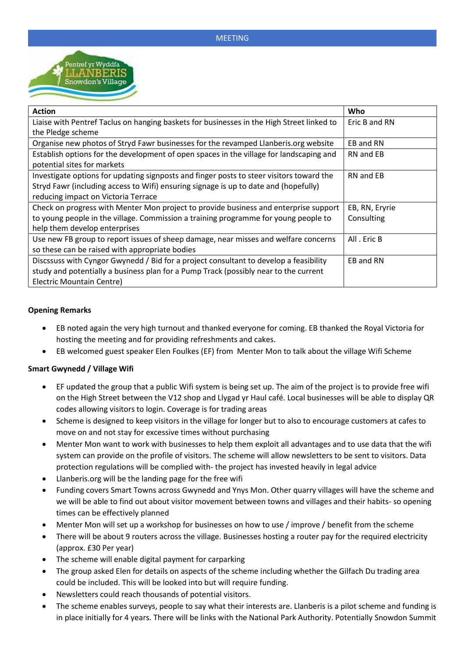

| <b>Action</b>                                                                             | Who            |
|-------------------------------------------------------------------------------------------|----------------|
| Liaise with Pentref Taclus on hanging baskets for businesses in the High Street linked to | Eric B and RN  |
| the Pledge scheme                                                                         |                |
| Organise new photos of Stryd Fawr businesses for the revamped Llanberis.org website       | EB and RN      |
| Establish options for the development of open spaces in the village for landscaping and   | RN and EB      |
| potential sites for markets                                                               |                |
| Investigate options for updating signposts and finger posts to steer visitors toward the  | RN and EB      |
| Stryd Fawr (including access to Wifi) ensuring signage is up to date and (hopefully)      |                |
| reducing impact on Victoria Terrace                                                       |                |
| Check on progress with Menter Mon project to provide business and enterprise support      | EB, RN, Eryrie |
| to young people in the village. Commission a training programme for young people to       | Consulting     |
| help them develop enterprises                                                             |                |
| Use new FB group to report issues of sheep damage, near misses and welfare concerns       | All . Eric B   |
| so these can be raised with appropriate bodies                                            |                |
| Discssuss with Cyngor Gwynedd / Bid for a project consultant to develop a feasibility     | EB and RN      |
| study and potentially a business plan for a Pump Track (possibly near to the current      |                |
| Electric Mountain Centre)                                                                 |                |

# **Opening Remarks**

- EB noted again the very high turnout and thanked everyone for coming. EB thanked the Royal Victoria for hosting the meeting and for providing refreshments and cakes.
- EB welcomed guest speaker Elen Foulkes (EF) from Menter Mon to talk about the village Wifi Scheme

### **Smart Gwynedd / Village Wifi**

- EF updated the group that a public Wifi system is being set up. The aim of the project is to provide free wifi on the High Street between the V12 shop and Llygad yr Haul café. Local businesses will be able to display QR codes allowing visitors to login. Coverage is for trading areas
- Scheme is designed to keep visitors in the village for longer but to also to encourage customers at cafes to move on and not stay for excessive times without purchasing
- Menter Mon want to work with businesses to help them exploit all advantages and to use data that the wifi system can provide on the profile of visitors. The scheme will allow newsletters to be sent to visitors. Data protection regulations will be complied with- the project has invested heavily in legal advice
- Llanberis.org will be the landing page for the free wifi
- Funding covers Smart Towns across Gwynedd and Ynys Mon. Other quarry villages will have the scheme and we will be able to find out about visitor movement between towns and villages and their habits- so opening times can be effectively planned
- Menter Mon will set up a workshop for businesses on how to use / improve / benefit from the scheme
- There will be about 9 routers across the village. Businesses hosting a router pay for the required electricity (approx. £30 Per year)
- The scheme will enable digital payment for carparking
- The group asked Elen for details on aspects of the scheme including whether the Gilfach Du trading area could be included. This will be looked into but will require funding.
- Newsletters could reach thousands of potential visitors.
- The scheme enables surveys, people to say what their interests are. Llanberis is a pilot scheme and funding is in place initially for 4 years. There will be links with the National Park Authority. Potentially Snowdon Summit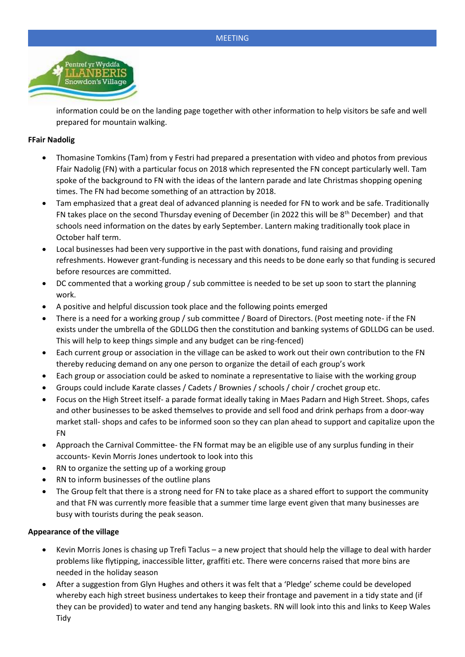

information could be on the landing page together with other information to help visitors be safe and well prepared for mountain walking.

# **FFair Nadolig**

- Thomasine Tomkins (Tam) from y Festri had prepared a presentation with video and photos from previous Ffair Nadolig (FN) with a particular focus on 2018 which represented the FN concept particularly well. Tam spoke of the background to FN with the ideas of the lantern parade and late Christmas shopping opening times. The FN had become something of an attraction by 2018.
- Tam emphasized that a great deal of advanced planning is needed for FN to work and be safe. Traditionally FN takes place on the second Thursday evening of December (in 2022 this will be 8th December) and that schools need information on the dates by early September. Lantern making traditionally took place in October half term.
- Local businesses had been very supportive in the past with donations, fund raising and providing refreshments. However grant-funding is necessary and this needs to be done early so that funding is secured before resources are committed.
- DC commented that a working group / sub committee is needed to be set up soon to start the planning work.
- A positive and helpful discussion took place and the following points emerged
- There is a need for a working group / sub committee / Board of Directors. (Post meeting note- if the FN exists under the umbrella of the GDLLDG then the constitution and banking systems of GDLLDG can be used. This will help to keep things simple and any budget can be ring-fenced)
- Each current group or association in the village can be asked to work out their own contribution to the FN thereby reducing demand on any one person to organize the detail of each group's work
- Each group or association could be asked to nominate a representative to liaise with the working group
- Groups could include Karate classes / Cadets / Brownies / schools / choir / crochet group etc.
- Focus on the High Street itself- a parade format ideally taking in Maes Padarn and High Street. Shops, cafes and other businesses to be asked themselves to provide and sell food and drink perhaps from a door-way market stall- shops and cafes to be informed soon so they can plan ahead to support and capitalize upon the FN
- Approach the Carnival Committee- the FN format may be an eligible use of any surplus funding in their accounts- Kevin Morris Jones undertook to look into this
- RN to organize the setting up of a working group
- RN to inform businesses of the outline plans
- The Group felt that there is a strong need for FN to take place as a shared effort to support the community and that FN was currently more feasible that a summer time large event given that many businesses are busy with tourists during the peak season.

# **Appearance of the village**

- Kevin Morris Jones is chasing up Trefi Taclus a new project that should help the village to deal with harder problems like flytipping, inaccessible litter, graffiti etc. There were concerns raised that more bins are needed in the holiday season
- After a suggestion from Glyn Hughes and others it was felt that a 'Pledge' scheme could be developed whereby each high street business undertakes to keep their frontage and pavement in a tidy state and (if they can be provided) to water and tend any hanging baskets. RN will look into this and links to Keep Wales **Tidy**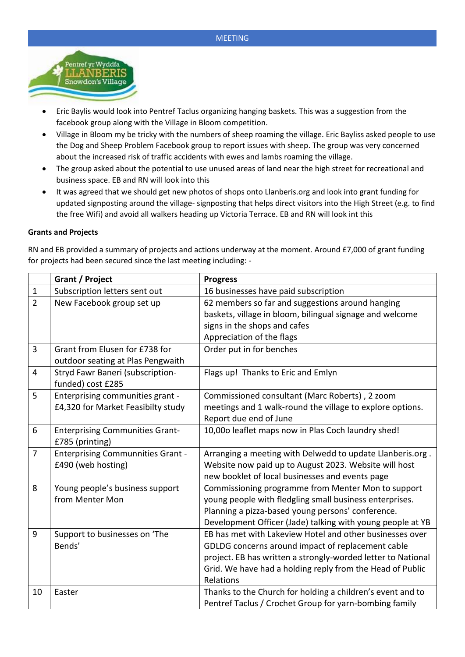

- Eric Baylis would look into Pentref Taclus organizing hanging baskets. This was a suggestion from the facebook group along with the Village in Bloom competition.
- Village in Bloom my be tricky with the numbers of sheep roaming the village. Eric Bayliss asked people to use the Dog and Sheep Problem Facebook group to report issues with sheep. The group was very concerned about the increased risk of traffic accidents with ewes and lambs roaming the village.
- The group asked about the potential to use unused areas of land near the high street for recreational and business space. EB and RN will look into this
- It was agreed that we should get new photos of shops onto Llanberis.org and look into grant funding for updated signposting around the village- signposting that helps direct visitors into the High Street (e.g. to find the free Wifi) and avoid all walkers heading up Victoria Terrace. EB and RN will look int this

### **Grants and Projects**

RN and EB provided a summary of projects and actions underway at the moment. Around £7,000 of grant funding for projects had been secured since the last meeting including: -

|                | Grant / Project                                                        | <b>Progress</b>                                                                                                                                                                                                                                         |
|----------------|------------------------------------------------------------------------|---------------------------------------------------------------------------------------------------------------------------------------------------------------------------------------------------------------------------------------------------------|
| $\mathbf{1}$   | Subscription letters sent out                                          | 16 businesses have paid subscription                                                                                                                                                                                                                    |
| $\overline{2}$ | New Facebook group set up                                              | 62 members so far and suggestions around hanging<br>baskets, village in bloom, bilingual signage and welcome<br>signs in the shops and cafes<br>Appreciation of the flags                                                                               |
| 3              | Grant from Elusen for £738 for<br>outdoor seating at Plas Pengwaith    | Order put in for benches                                                                                                                                                                                                                                |
| 4              | Stryd Fawr Baneri (subscription-<br>funded) cost £285                  | Flags up! Thanks to Eric and Emlyn                                                                                                                                                                                                                      |
| 5              | Enterprising communities grant -<br>£4,320 for Market Feasibilty study | Commissioned consultant (Marc Roberts), 2 zoom<br>meetings and 1 walk-round the village to explore options.<br>Report due end of June                                                                                                                   |
| 6              | <b>Enterprising Communities Grant-</b><br>£785 (printing)              | 10,000 leaflet maps now in Plas Coch laundry shed!                                                                                                                                                                                                      |
| $\overline{7}$ | <b>Enterprising Communnities Grant -</b><br>£490 (web hosting)         | Arranging a meeting with Delwedd to update Llanberis.org.<br>Website now paid up to August 2023. Website will host<br>new booklet of local businesses and events page                                                                                   |
| 8              | Young people's business support<br>from Menter Mon                     | Commissioning programme from Menter Mon to support<br>young people with fledgling small business enterprises.<br>Planning a pizza-based young persons' conference.<br>Development Officer (Jade) talking with young people at YB                        |
| 9              | Support to businesses on 'The<br>Bends'                                | EB has met with Lakeview Hotel and other businesses over<br>GDLDG concerns around impact of replacement cable<br>project. EB has written a strongly-worded letter to National<br>Grid. We have had a holding reply from the Head of Public<br>Relations |
| 10             | Easter                                                                 | Thanks to the Church for holding a children's event and to<br>Pentref Taclus / Crochet Group for yarn-bombing family                                                                                                                                    |